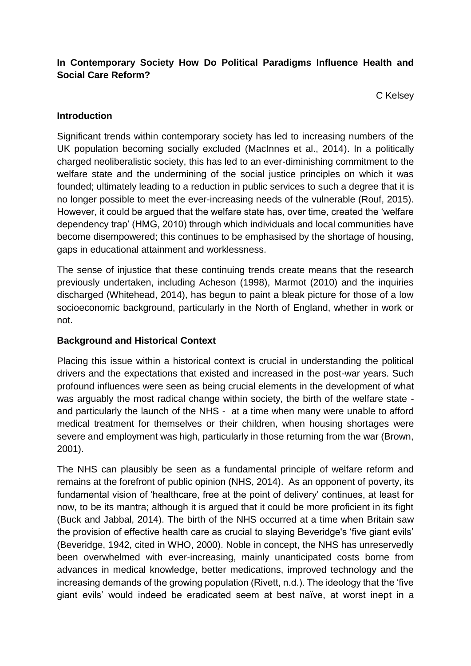### **In Contemporary Society How Do Political Paradigms Influence Health and Social Care Reform?**

C Kelsey

### **Introduction**

Significant trends within contemporary society has led to increasing numbers of the UK population becoming socially excluded (MacInnes et al., 2014). In a politically charged neoliberalistic society, this has led to an ever-diminishing commitment to the welfare state and the undermining of the social justice principles on which it was founded; ultimately leading to a reduction in public services to such a degree that it is no longer possible to meet the ever-increasing needs of the vulnerable (Rouf, 2015). However, it could be argued that the welfare state has, over time, created the 'welfare dependency trap' (HMG, 2010) through which individuals and local communities have become disempowered; this continues to be emphasised by the shortage of housing, gaps in educational attainment and worklessness.

The sense of injustice that these continuing trends create means that the research previously undertaken, including Acheson (1998), Marmot (2010) and the inquiries discharged (Whitehead, 2014), has begun to paint a bleak picture for those of a low socioeconomic background, particularly in the North of England, whether in work or not.

### **Background and Historical Context**

Placing this issue within a historical context is crucial in understanding the political drivers and the expectations that existed and increased in the post-war years. Such profound influences were seen as being crucial elements in the development of what was arguably the most radical change within society, the birth of the welfare state and particularly the launch of the NHS - at a time when many were unable to afford medical treatment for themselves or their children, when housing shortages were severe and employment was high, particularly in those returning from the war (Brown, 2001).

The NHS can plausibly be seen as a fundamental principle of welfare reform and remains at the forefront of public opinion (NHS, 2014). As an opponent of poverty, its fundamental vision of 'healthcare, free at the point of delivery' continues, at least for now, to be its mantra; although it is argued that it could be more proficient in its fight (Buck and Jabbal, 2014). The birth of the NHS occurred at a time when Britain saw the provision of effective health care as crucial to slaying Beveridge's 'five giant evils' (Beveridge, 1942, cited in WHO, 2000). Noble in concept, the NHS has unreservedly been overwhelmed with ever-increasing, mainly unanticipated costs borne from advances in medical knowledge, better medications, improved technology and the increasing demands of the growing population (Rivett, n.d.). The ideology that the 'five giant evils' would indeed be eradicated seem at best naïve, at worst inept in a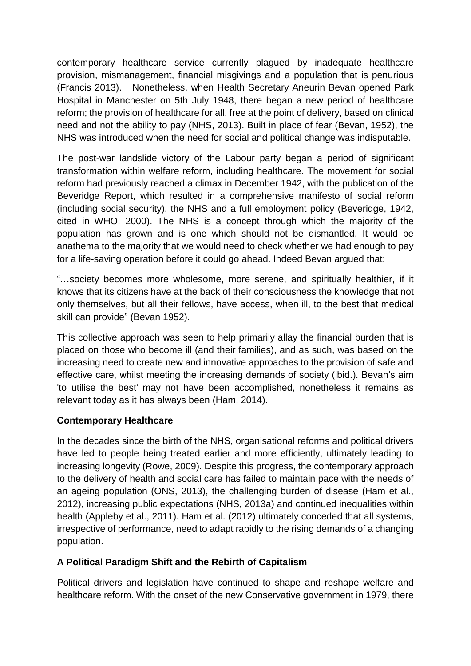contemporary healthcare service currently plagued by inadequate healthcare provision, mismanagement, financial misgivings and a population that is penurious (Francis 2013). Nonetheless, when Health Secretary Aneurin Bevan opened Park Hospital in Manchester on 5th July 1948, there began a new period of healthcare reform; the provision of healthcare for all, free at the point of delivery, based on clinical need and not the ability to pay (NHS, 2013). Built in place of fear (Bevan, 1952), the NHS was introduced when the need for social and political change was indisputable.

The post-war landslide victory of the Labour party began a period of significant transformation within welfare reform, including healthcare. The movement for social reform had previously reached a climax in December 1942, with the publication of the Beveridge Report, which resulted in a comprehensive manifesto of social reform (including social security), the NHS and a full employment policy (Beveridge, 1942, cited in WHO, 2000). The NHS is a concept through which the majority of the population has grown and is one which should not be dismantled. It would be anathema to the majority that we would need to check whether we had enough to pay for a life-saving operation before it could go ahead. Indeed Bevan argued that:

"…society becomes more wholesome, more serene, and spiritually healthier, if it knows that its citizens have at the back of their consciousness the knowledge that not only themselves, but all their fellows, have access, when ill, to the best that medical skill can provide" (Bevan 1952).

This collective approach was seen to help primarily allay the financial burden that is placed on those who become ill (and their families), and as such, was based on the increasing need to create new and innovative approaches to the provision of safe and effective care, whilst meeting the increasing demands of society (ibid.). Bevan's aim 'to utilise the best' may not have been accomplished, nonetheless it remains as relevant today as it has always been (Ham, 2014).

### **Contemporary Healthcare**

In the decades since the birth of the NHS, organisational reforms and political drivers have led to people being treated earlier and more efficiently, ultimately leading to increasing longevity (Rowe, 2009). Despite this progress, the contemporary approach to the delivery of health and social care has failed to maintain pace with the needs of an ageing population (ONS, 2013), the challenging burden of disease (Ham et al., 2012), increasing public expectations (NHS, 2013a) and continued inequalities within health (Appleby et al., 2011). Ham et al. (2012) ultimately conceded that all systems, irrespective of performance, need to adapt rapidly to the rising demands of a changing population.

# **A Political Paradigm Shift and the Rebirth of Capitalism**

Political drivers and legislation have continued to shape and reshape welfare and healthcare reform. With the onset of the new Conservative government in 1979, there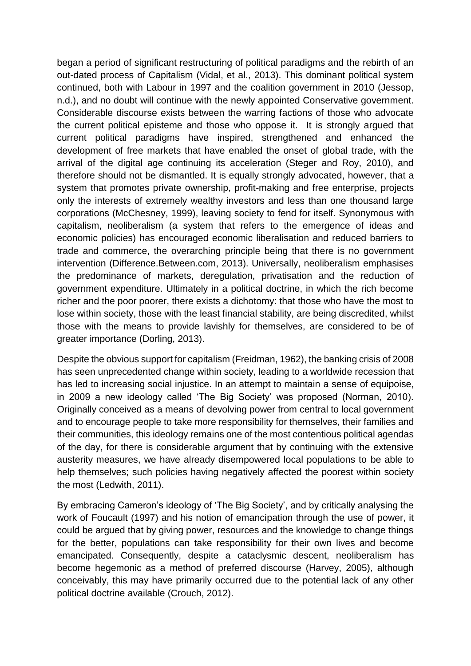began a period of significant restructuring of political paradigms and the rebirth of an out-dated process of Capitalism (Vidal, et al., 2013). This dominant political system continued, both with Labour in 1997 and the coalition government in 2010 (Jessop, n.d.), and no doubt will continue with the newly appointed Conservative government. Considerable discourse exists between the warring factions of those who advocate the current political episteme and those who oppose it. It is strongly argued that current political paradigms have inspired, strengthened and enhanced the development of free markets that have enabled the onset of global trade, with the arrival of the digital age continuing its acceleration (Steger and Roy, 2010), and therefore should not be dismantled. It is equally strongly advocated, however, that a system that promotes private ownership, profit-making and free enterprise, projects only the interests of extremely wealthy investors and less than one thousand large corporations (McChesney, 1999), leaving society to fend for itself. Synonymous with capitalism, neoliberalism (a system that refers to the emergence of ideas and economic policies) has encouraged economic liberalisation and reduced barriers to trade and commerce, the overarching principle being that there is no government intervention (Difference.Between.com, 2013). Universally, neoliberalism emphasises the predominance of markets, deregulation, privatisation and the reduction of government expenditure. Ultimately in a political doctrine, in which the rich become richer and the poor poorer, there exists a dichotomy: that those who have the most to lose within society, those with the least financial stability, are being discredited, whilst those with the means to provide lavishly for themselves, are considered to be of greater importance (Dorling, 2013).

Despite the obvious support for capitalism (Freidman, 1962), the banking crisis of 2008 has seen unprecedented change within society, leading to a worldwide recession that has led to increasing social injustice. In an attempt to maintain a sense of equipoise, in 2009 a new ideology called 'The Big Society' was proposed (Norman, 2010). Originally conceived as a means of devolving power from central to local government and to encourage people to take more responsibility for themselves, their families and their communities, this ideology remains one of the most contentious political agendas of the day, for there is considerable argument that by continuing with the extensive austerity measures, we have already disempowered local populations to be able to help themselves; such policies having negatively affected the poorest within society the most (Ledwith, 2011).

By embracing Cameron's ideology of 'The Big Society', and by critically analysing the work of Foucault (1997) and his notion of emancipation through the use of power, it could be argued that by giving power, resources and the knowledge to change things for the better, populations can take responsibility for their own lives and become emancipated. Consequently, despite a cataclysmic descent, neoliberalism has become hegemonic as a method of preferred discourse (Harvey, 2005), although conceivably, this may have primarily occurred due to the potential lack of any other political doctrine available (Crouch, 2012).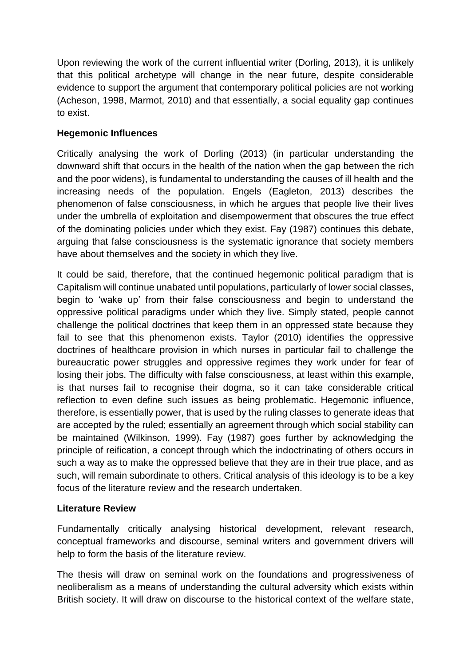Upon reviewing the work of the current influential writer (Dorling, 2013), it is unlikely that this political archetype will change in the near future, despite considerable evidence to support the argument that contemporary political policies are not working (Acheson, 1998, Marmot, 2010) and that essentially, a social equality gap continues to exist.

### **Hegemonic Influences**

Critically analysing the work of Dorling (2013) (in particular understanding the downward shift that occurs in the health of the nation when the gap between the rich and the poor widens), is fundamental to understanding the causes of ill health and the increasing needs of the population. Engels (Eagleton, 2013) describes the phenomenon of false consciousness, in which he argues that people live their lives under the umbrella of exploitation and disempowerment that obscures the true effect of the dominating policies under which they exist. Fay (1987) continues this debate, arguing that false consciousness is the systematic ignorance that society members have about themselves and the society in which they live.

It could be said, therefore, that the continued hegemonic political paradigm that is Capitalism will continue unabated until populations, particularly of lower social classes, begin to 'wake up' from their false consciousness and begin to understand the oppressive political paradigms under which they live. Simply stated, people cannot challenge the political doctrines that keep them in an oppressed state because they fail to see that this phenomenon exists. Taylor (2010) identifies the oppressive doctrines of healthcare provision in which nurses in particular fail to challenge the bureaucratic power struggles and oppressive regimes they work under for fear of losing their jobs. The difficulty with false consciousness, at least within this example, is that nurses fail to recognise their dogma, so it can take considerable critical reflection to even define such issues as being problematic. Hegemonic influence, therefore, is essentially power, that is used by the ruling classes to generate ideas that are accepted by the ruled; essentially an agreement through which social stability can be maintained (Wilkinson, 1999). Fay (1987) goes further by acknowledging the principle of reification, a concept through which the indoctrinating of others occurs in such a way as to make the oppressed believe that they are in their true place, and as such, will remain subordinate to others. Critical analysis of this ideology is to be a key focus of the literature review and the research undertaken.

### **Literature Review**

Fundamentally critically analysing historical development, relevant research, conceptual frameworks and discourse, seminal writers and government drivers will help to form the basis of the literature review.

The thesis will draw on seminal work on the foundations and progressiveness of neoliberalism as a means of understanding the cultural adversity which exists within British society. It will draw on discourse to the historical context of the welfare state,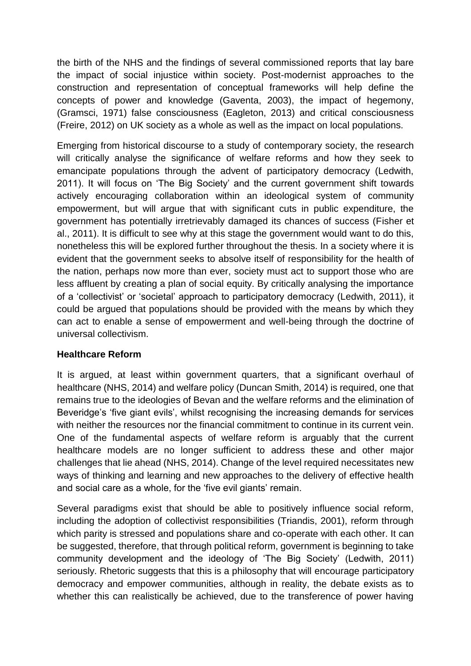the birth of the NHS and the findings of several commissioned reports that lay bare the impact of social injustice within society. Post-modernist approaches to the construction and representation of conceptual frameworks will help define the concepts of power and knowledge (Gaventa, 2003), the impact of hegemony, (Gramsci, 1971) false consciousness (Eagleton, 2013) and critical consciousness (Freire, 2012) on UK society as a whole as well as the impact on local populations.

Emerging from historical discourse to a study of contemporary society, the research will critically analyse the significance of welfare reforms and how they seek to emancipate populations through the advent of participatory democracy (Ledwith, 2011). It will focus on 'The Big Society' and the current government shift towards actively encouraging collaboration within an ideological system of community empowerment, but will argue that with significant cuts in public expenditure, the government has potentially irretrievably damaged its chances of success (Fisher et al., 2011). It is difficult to see why at this stage the government would want to do this, nonetheless this will be explored further throughout the thesis. In a society where it is evident that the government seeks to absolve itself of responsibility for the health of the nation, perhaps now more than ever, society must act to support those who are less affluent by creating a plan of social equity. By critically analysing the importance of a 'collectivist' or 'societal' approach to participatory democracy (Ledwith, 2011), it could be argued that populations should be provided with the means by which they can act to enable a sense of empowerment and well-being through the doctrine of universal collectivism.

### **Healthcare Reform**

It is argued, at least within government quarters, that a significant overhaul of healthcare (NHS, 2014) and welfare policy (Duncan Smith, 2014) is required, one that remains true to the ideologies of Bevan and the welfare reforms and the elimination of Beveridge's 'five giant evils', whilst recognising the increasing demands for services with neither the resources nor the financial commitment to continue in its current vein. One of the fundamental aspects of welfare reform is arguably that the current healthcare models are no longer sufficient to address these and other major challenges that lie ahead (NHS, 2014). Change of the level required necessitates new ways of thinking and learning and new approaches to the delivery of effective health and social care as a whole, for the 'five evil giants' remain.

Several paradigms exist that should be able to positively influence social reform, including the adoption of collectivist responsibilities (Triandis, 2001), reform through which parity is stressed and populations share and co-operate with each other. It can be suggested, therefore, that through political reform, government is beginning to take community development and the ideology of 'The Big Society' (Ledwith, 2011) seriously. Rhetoric suggests that this is a philosophy that will encourage participatory democracy and empower communities, although in reality, the debate exists as to whether this can realistically be achieved, due to the transference of power having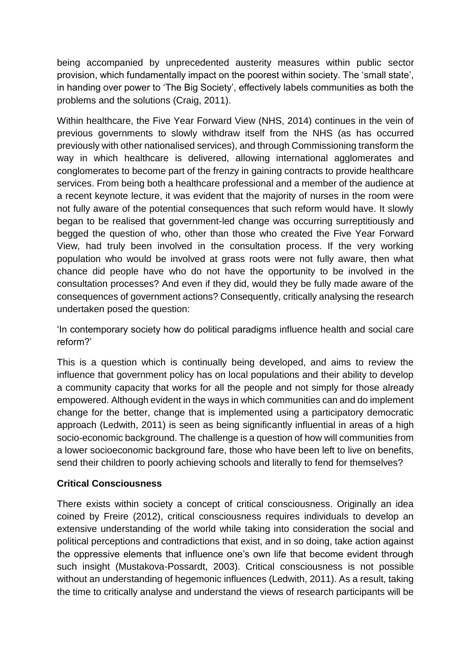being accompanied by unprecedented austerity measures within public sector provision, which fundamentally impact on the poorest within society. The 'small state', in handing over power to 'The Big Society', effectively labels communities as both the problems and the solutions (Craig, 2011).

Within healthcare, the Five Year Forward View (NHS, 2014) continues in the vein of previous governments to slowly withdraw itself from the NHS (as has occurred previously with other nationalised services), and through Commissioning transform the way in which healthcare is delivered, allowing international agglomerates and conglomerates to become part of the frenzy in gaining contracts to provide healthcare services. From being both a healthcare professional and a member of the audience at a recent keynote lecture, it was evident that the majority of nurses in the room were not fully aware of the potential consequences that such reform would have. It slowly began to be realised that government-led change was occurring surreptitiously and begged the question of who, other than those who created the Five Year Forward View, had truly been involved in the consultation process. If the very working population who would be involved at grass roots were not fully aware, then what chance did people have who do not have the opportunity to be involved in the consultation processes? And even if they did, would they be fully made aware of the consequences of government actions? Consequently, critically analysing the research undertaken posed the question:

'In contemporary society how do political paradigms influence health and social care reform?'

This is a question which is continually being developed, and aims to review the influence that government policy has on local populations and their ability to develop a community capacity that works for all the people and not simply for those already empowered. Although evident in the ways in which communities can and do implement change for the better, change that is implemented using a participatory democratic approach (Ledwith, 2011) is seen as being significantly influential in areas of a high socio-economic background. The challenge is a question of how will communities from a lower socioeconomic background fare, those who have been left to live on benefits, send their children to poorly achieving schools and literally to fend for themselves?

### **Critical Consciousness**

There exists within society a concept of critical consciousness. Originally an idea coined by Freire (2012), critical consciousness requires individuals to develop an extensive understanding of the world while taking into consideration the social and political perceptions and contradictions that exist, and in so doing, take action against the oppressive elements that influence one's own life that become evident through such insight (Mustakova-Possardt, 2003). Critical consciousness is not possible without an understanding of hegemonic influences (Ledwith, 2011). As a result, taking the time to critically analyse and understand the views of research participants will be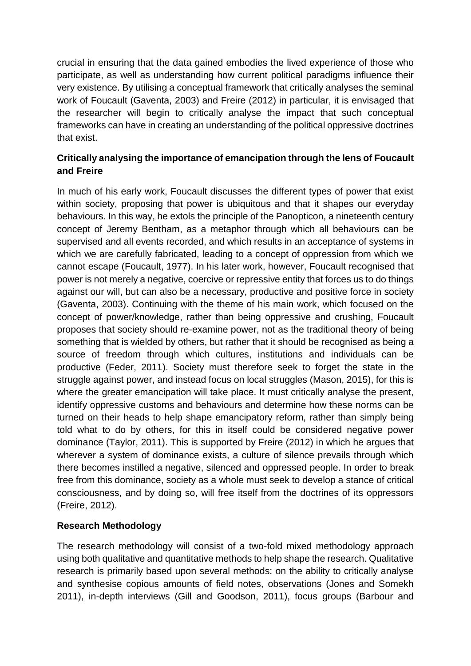crucial in ensuring that the data gained embodies the lived experience of those who participate, as well as understanding how current political paradigms influence their very existence. By utilising a conceptual framework that critically analyses the seminal work of Foucault (Gaventa, 2003) and Freire (2012) in particular, it is envisaged that the researcher will begin to critically analyse the impact that such conceptual frameworks can have in creating an understanding of the political oppressive doctrines that exist.

# **Critically analysing the importance of emancipation through the lens of Foucault and Freire**

In much of his early work, Foucault discusses the different types of power that exist within society, proposing that power is ubiquitous and that it shapes our everyday behaviours. In this way, he extols the principle of the Panopticon, a nineteenth century concept of Jeremy Bentham, as a metaphor through which all behaviours can be supervised and all events recorded, and which results in an acceptance of systems in which we are carefully fabricated, leading to a concept of oppression from which we cannot escape (Foucault, 1977). In his later work, however, Foucault recognised that power is not merely a negative, coercive or repressive entity that forces us to do things against our will, but can also be a necessary, productive and positive force in society (Gaventa, 2003). Continuing with the theme of his main work, which focused on the concept of power/knowledge, rather than being oppressive and crushing, Foucault proposes that society should re-examine power, not as the traditional theory of being something that is wielded by others, but rather that it should be recognised as being a source of freedom through which cultures, institutions and individuals can be productive (Feder, 2011). Society must therefore seek to forget the state in the struggle against power, and instead focus on local struggles (Mason, 2015), for this is where the greater emancipation will take place. It must critically analyse the present, identify oppressive customs and behaviours and determine how these norms can be turned on their heads to help shape emancipatory reform, rather than simply being told what to do by others, for this in itself could be considered negative power dominance (Taylor, 2011). This is supported by Freire (2012) in which he argues that wherever a system of dominance exists, a culture of silence prevails through which there becomes instilled a negative, silenced and oppressed people. In order to break free from this dominance, society as a whole must seek to develop a stance of critical consciousness, and by doing so, will free itself from the doctrines of its oppressors (Freire, 2012).

# **Research Methodology**

The research methodology will consist of a two-fold mixed methodology approach using both qualitative and quantitative methods to help shape the research. Qualitative research is primarily based upon several methods: on the ability to critically analyse and synthesise copious amounts of field notes, observations (Jones and Somekh 2011), in-depth interviews (Gill and Goodson, 2011), focus groups (Barbour and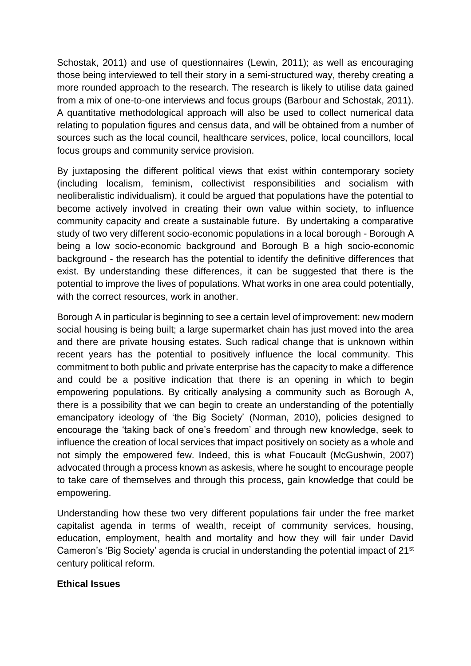Schostak, 2011) and use of questionnaires (Lewin, 2011); as well as encouraging those being interviewed to tell their story in a semi-structured way, thereby creating a more rounded approach to the research. The research is likely to utilise data gained from a mix of one-to-one interviews and focus groups (Barbour and Schostak, 2011). A quantitative methodological approach will also be used to collect numerical data relating to population figures and census data, and will be obtained from a number of sources such as the local council, healthcare services, police, local councillors, local focus groups and community service provision.

By juxtaposing the different political views that exist within contemporary society (including localism, feminism, collectivist responsibilities and socialism with neoliberalistic individualism), it could be argued that populations have the potential to become actively involved in creating their own value within society, to influence community capacity and create a sustainable future. By undertaking a comparative study of two very different socio-economic populations in a local borough - Borough A being a low socio-economic background and Borough B a high socio-economic background - the research has the potential to identify the definitive differences that exist. By understanding these differences, it can be suggested that there is the potential to improve the lives of populations. What works in one area could potentially, with the correct resources, work in another.

Borough A in particular is beginning to see a certain level of improvement: new modern social housing is being built; a large supermarket chain has just moved into the area and there are private housing estates. Such radical change that is unknown within recent years has the potential to positively influence the local community. This commitment to both public and private enterprise has the capacity to make a difference and could be a positive indication that there is an opening in which to begin empowering populations. By critically analysing a community such as Borough A, there is a possibility that we can begin to create an understanding of the potentially emancipatory ideology of 'the Big Society' (Norman, 2010), policies designed to encourage the 'taking back of one's freedom' and through new knowledge, seek to influence the creation of local services that impact positively on society as a whole and not simply the empowered few. Indeed, this is what Foucault (McGushwin, 2007) advocated through a process known as askesis, where he sought to encourage people to take care of themselves and through this process, gain knowledge that could be empowering.

Understanding how these two very different populations fair under the free market capitalist agenda in terms of wealth, receipt of community services, housing, education, employment, health and mortality and how they will fair under David Cameron's 'Big Society' agenda is crucial in understanding the potential impact of 21st century political reform.

#### **Ethical Issues**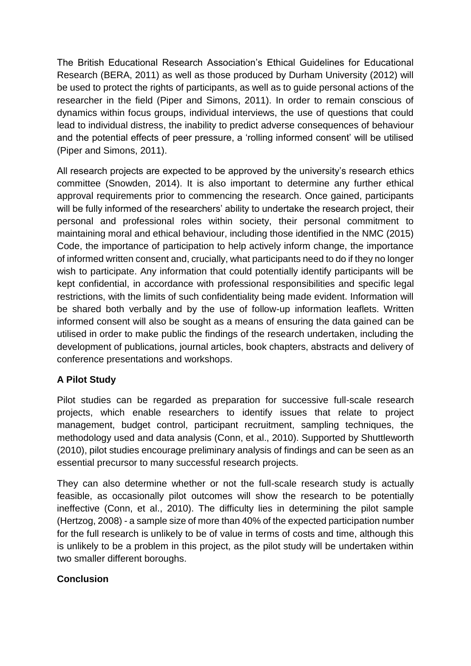The British Educational Research Association's Ethical Guidelines for Educational Research (BERA, 2011) as well as those produced by Durham University (2012) will be used to protect the rights of participants, as well as to guide personal actions of the researcher in the field (Piper and Simons, 2011). In order to remain conscious of dynamics within focus groups, individual interviews, the use of questions that could lead to individual distress, the inability to predict adverse consequences of behaviour and the potential effects of peer pressure, a 'rolling informed consent' will be utilised (Piper and Simons, 2011).

All research projects are expected to be approved by the university's research ethics committee (Snowden, 2014). It is also important to determine any further ethical approval requirements prior to commencing the research. Once gained, participants will be fully informed of the researchers' ability to undertake the research project, their personal and professional roles within society, their personal commitment to maintaining moral and ethical behaviour, including those identified in the NMC (2015) Code, the importance of participation to help actively inform change, the importance of informed written consent and, crucially, what participants need to do if they no longer wish to participate. Any information that could potentially identify participants will be kept confidential, in accordance with professional responsibilities and specific legal restrictions, with the limits of such confidentiality being made evident. Information will be shared both verbally and by the use of follow-up information leaflets. Written informed consent will also be sought as a means of ensuring the data gained can be utilised in order to make public the findings of the research undertaken, including the development of publications, journal articles, book chapters, abstracts and delivery of conference presentations and workshops.

# **A Pilot Study**

Pilot studies can be regarded as preparation for successive full-scale research projects, which enable researchers to identify issues that relate to project management, budget control, participant recruitment, sampling techniques, the methodology used and data analysis (Conn, et al., 2010). Supported by Shuttleworth (2010), pilot studies encourage preliminary analysis of findings and can be seen as an essential precursor to many successful research projects.

They can also determine whether or not the full-scale research study is actually feasible, as occasionally pilot outcomes will show the research to be potentially ineffective (Conn, et al., 2010). The difficulty lies in determining the pilot sample (Hertzog, 2008) - a sample size of more than 40% of the expected participation number for the full research is unlikely to be of value in terms of costs and time, although this is unlikely to be a problem in this project, as the pilot study will be undertaken within two smaller different boroughs.

### **Conclusion**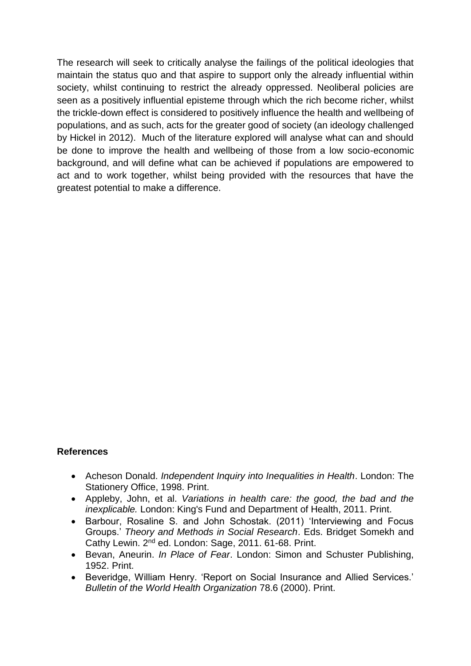The research will seek to critically analyse the failings of the political ideologies that maintain the status quo and that aspire to support only the already influential within society, whilst continuing to restrict the already oppressed. Neoliberal policies are seen as a positively influential episteme through which the rich become richer, whilst the trickle-down effect is considered to positively influence the health and wellbeing of populations, and as such, acts for the greater good of society (an ideology challenged by Hickel in 2012). Much of the literature explored will analyse what can and should be done to improve the health and wellbeing of those from a low socio-economic background, and will define what can be achieved if populations are empowered to act and to work together, whilst being provided with the resources that have the greatest potential to make a difference.

#### **References**

- Acheson Donald. *Independent Inquiry into Inequalities in Health*. London: The Stationery Office, 1998. Print.
- Appleby, John, et al. *Variations in health care: the good, the bad and the inexplicable.* London: King's Fund and Department of Health, 2011. Print.
- Barbour, Rosaline S. and John Schostak. (2011) 'Interviewing and Focus Groups.' *Theory and Methods in Social Research*. Eds. Bridget Somekh and Cathy Lewin. 2nd ed. London: Sage, 2011. 61-68. Print.
- Bevan, Aneurin. *In Place of Fear*. London: Simon and Schuster Publishing, 1952. Print.
- Beveridge, William Henry. 'Report on Social Insurance and Allied Services.' *Bulletin of the World Health Organization* 78.6 (2000). Print.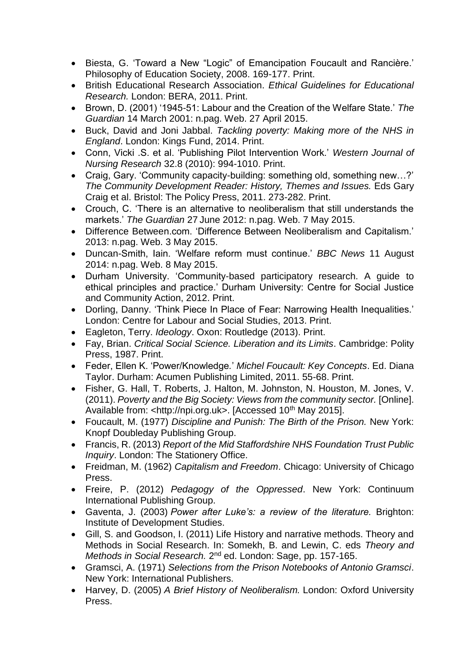- Biesta, G. 'Toward a New "Logic" of Emancipation Foucault and Rancière.' Philosophy of Education Society, 2008. 169-177. Print.
- British Educational Research Association. *Ethical Guidelines for Educational Research.* London: BERA, 2011. Print.
- Brown, D. (2001) '1945-51: Labour and the Creation of the Welfare State.' *The Guardian* 14 March 2001: n.pag. Web. 27 April 2015.
- Buck, David and Joni Jabbal. *Tackling poverty: Making more of the NHS in England*. London: Kings Fund, 2014. Print.
- Conn, Vicki .S. et al. 'Publishing Pilot Intervention Work.' *Western Journal of Nursing Research* 32.8 (2010): 994-1010. Print.
- Craig, Gary. 'Community capacity-building: something old, something new…?' *The Community Development Reader: History, Themes and Issues.* Eds Gary Craig et al. Bristol: The Policy Press, 2011. 273-282. Print.
- Crouch, C. 'There is an alternative to neoliberalism that still understands the markets.' *The Guardian* 27 June 2012: n.pag. Web. 7 May 2015.
- Difference Between.com. 'Difference Between Neoliberalism and Capitalism.' 2013: n.pag. Web. 3 May 2015.
- Duncan-Smith, Iain. 'Welfare reform must continue.' *BBC News* 11 August 2014: n.pag. Web. 8 May 2015.
- Durham University. 'Community-based participatory research. A guide to ethical principles and practice.' Durham University: Centre for Social Justice and Community Action, 2012. Print.
- Dorling, Danny. 'Think Piece In Place of Fear: Narrowing Health Inequalities.' London: Centre for Labour and Social Studies, 2013. Print.
- Eagleton, Terry. *Ideology*. Oxon: Routledge (2013). Print.
- Fay, Brian. *Critical Social Science. Liberation and its Limits*. Cambridge: Polity Press, 1987. Print.
- Feder, Ellen K. 'Power/Knowledge*.*' *Michel Foucault: Key Concepts*. Ed. Diana Taylor. Durham: Acumen Publishing Limited, 2011. 55-68. Print.
- Fisher, G. Hall, T. Roberts, J. Halton, M. Johnston, N. Houston, M. Jones, V. (2011). *Poverty and the Big Society: Views from the community sector.* [Online]. Available from: <http://npi.org.uk>. [Accessed 10<sup>th</sup> May 2015].
- Foucault, M. (1977) *Discipline and Punish: The Birth of the Prison.* New York: Knopf Doubleday Publishing Group.
- Francis, R. (2013) *Report of the Mid Staffordshire NHS Foundation Trust Public Inquiry*. London: The Stationery Office.
- Freidman, M. (1962) *Capitalism and Freedom*. Chicago: University of Chicago Press.
- Freire, P. (2012) *Pedagogy of the Oppressed*. New York: Continuum International Publishing Group.
- Gaventa, J. (2003) *Power after Luke's: a review of the literature.* Brighton: Institute of Development Studies.
- Gill, S. and Goodson, I. (2011) Life History and narrative methods. Theory and Methods in Social Research. In: Somekh, B. and Lewin, C. eds *Theory and*  Methods in Social Research. 2<sup>nd</sup> ed. London: Sage, pp. 157-165.
- Gramsci, A. (1971) *Selections from the Prison Notebooks of Antonio Gramsci*. New York: International Publishers.
- Harvey, D. (2005) *A Brief History of Neoliberalism.* London: Oxford University Press.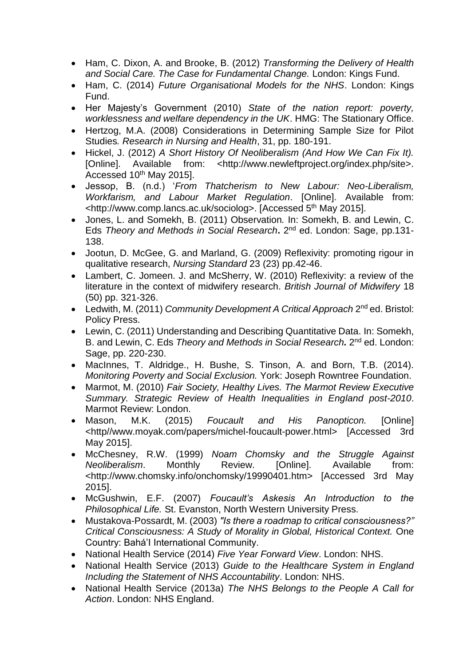- Ham, C. Dixon, A. and Brooke, B. (2012) *Transforming the Delivery of Health and Social Care. The Case for Fundamental Change.* London: Kings Fund.
- Ham, C. (2014) *Future Organisational Models for the NHS*. London: Kings Fund.
- Her Majesty's Government (2010) *State of the nation report: poverty, worklessness and welfare dependency in the UK*. HMG: The Stationary Office.
- Hertzog, M.A. (2008) Considerations in Determining Sample Size for Pilot Studies*. Research in Nursing and Health*, 31, pp. 180-191.
- Hickel, J. (2012) *A Short History Of Neoliberalism (And How We Can Fix It).* [Online]. Available from: <http://www.newleftproject.org/index.php/site>. Accessed 10<sup>th</sup> May 2015].
- Jessop, B. (n.d.) '*From Thatcherism to New Labour: Neo-Liberalism, Workfarism, and Labour Market Regulation*. [Online]. Available from: <http://www.comp.lancs.ac.uk/sociolog>. [Accessed 5th May 2015].
- Jones, L. and Somekh, B. (2011) Observation*.* In: Somekh, B. and Lewin, C. Eds *Theory and Methods in Social Research***.** 2<sup>nd</sup> ed. London: Sage, pp.131-138.
- Jootun, D. McGee, G. and Marland, G. (2009) Reflexivity: promoting rigour in qualitative research, *Nursing Standard* 23 (23) pp.42-46.
- Lambert, C. Jomeen. J. and McSherry, W. (2010) Reflexivity: a review of the literature in the context of midwifery research. *British Journal of Midwifery* 18 (50) pp. 321-326.
- Ledwith, M. (2011) *Community Development A Critical Approach* 2<sup>nd</sup> ed. Bristol: Policy Press.
- Lewin, C. (2011) Understanding and Describing Quantitative Data. In: Somekh, B. and Lewin, C. Eds *Theory and Methods in Social Research.* 2<sup>nd</sup> ed. London: Sage, pp. 220-230.
- MacInnes, T. Aldridge., H. Bushe, S. Tinson, A. and Born, T.B. (2014). *Monitoring Poverty and Social Exclusion.* York: Joseph Rowntree Foundation.
- Marmot, M. (2010) *Fair Society, Healthy Lives. The Marmot Review Executive Summary. Strategic Review of Health Inequalities in England post-2010*. Marmot Review: London.
- Mason, M.K. (2015) *Foucault and His Panopticon.* [Online] <http//www.moyak.com/papers/michel-foucault-power.html> [Accessed 3rd May 2015].
- McChesney, R.W. (1999) *Noam Chomsky and the Struggle Against Neoliberalism*. Monthly Review. [Online]. Available from: <http://www.chomsky.info/onchomsky/19990401.htm> [Accessed 3rd May 2015].
- McGushwin, E.F. (2007) *Foucault's Askesis An Introduction to the Philosophical Life.* St. Evanston, North Western University Press.
- Mustakova-Possardt, M. (2003) *"Is there a roadmap to critical consciousness?" Critical Consciousness: A Study of Morality in Global, Historical Context.* One Country: Bahá'I International Community.
- National Health Service (2014) *Five Year Forward View*. London: NHS.
- National Health Service (2013) *Guide to the Healthcare System in England Including the Statement of NHS Accountability*. London: NHS.
- National Health Service (2013a) *The NHS Belongs to the People A Call for Action*. London: NHS England.